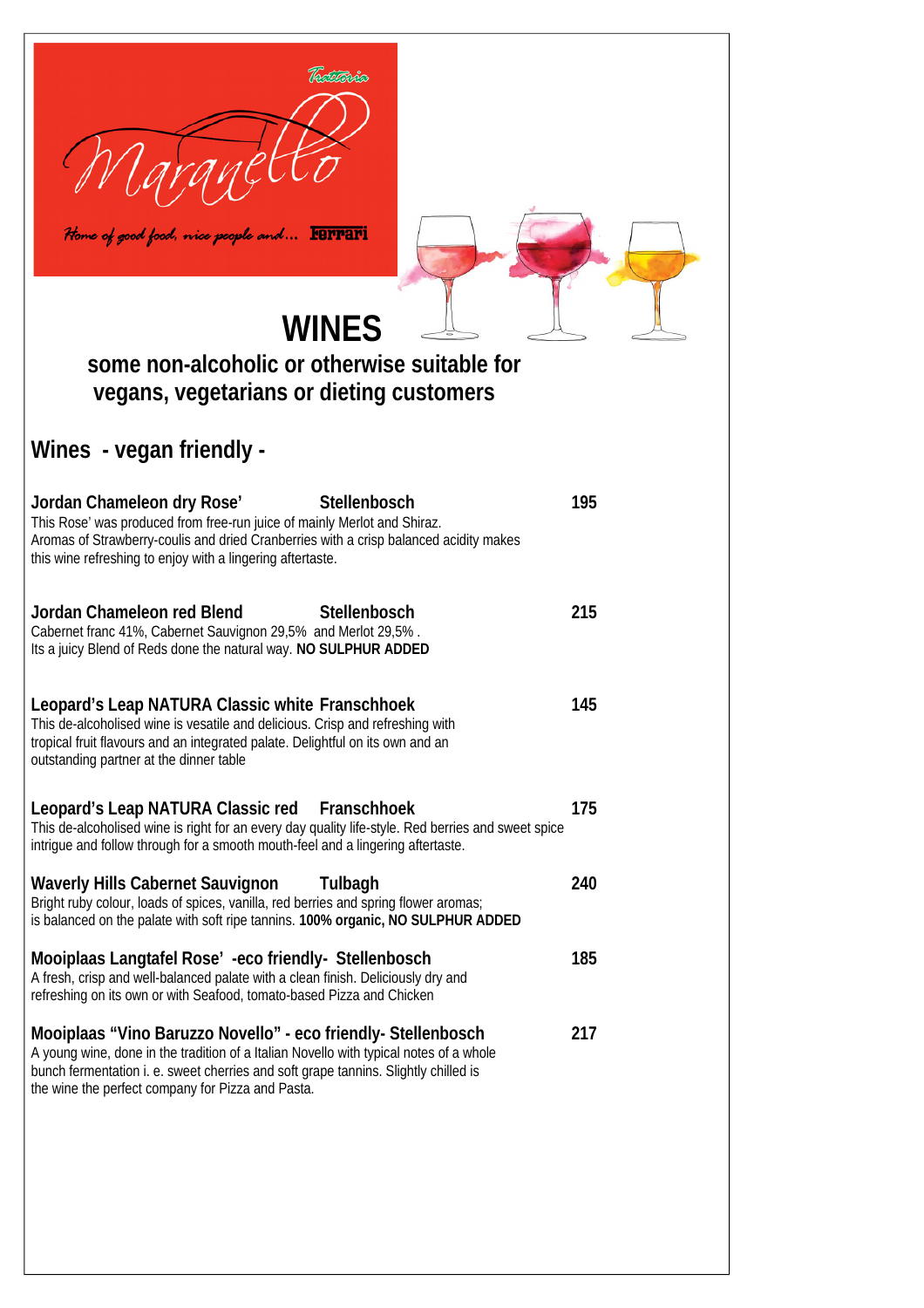| Taxiloria<br>Home of good food, nice people and FBPPAP1<br><b>WINES</b><br>some non-alcoholic or otherwise suitable for<br>vegans, vegetarians or dieting customers                                                                                                                                        |  |
|------------------------------------------------------------------------------------------------------------------------------------------------------------------------------------------------------------------------------------------------------------------------------------------------------------|--|
| Wines - vegan friendly -                                                                                                                                                                                                                                                                                   |  |
| Jordan Chameleon dry Rose'<br><b>Stellenbosch</b><br>195<br>This Rose' was produced from free-run juice of mainly Merlot and Shiraz.<br>Aromas of Strawberry-coulis and dried Cranberries with a crisp balanced acidity makes<br>this wine refreshing to enjoy with a lingering aftertaste.                |  |
| Jordan Chameleon red Blend<br><b>Stellenbosch</b><br>215<br>Cabernet franc 41%, Cabernet Sauvignon 29,5% and Merlot 29,5%.<br>Its a juicy Blend of Reds done the natural way. NO SULPHUR ADDED                                                                                                             |  |
| <b>Leopard's Leap NATURA Classic white Franschhoek</b><br>145<br>This de-alcoholised wine is vesatile and delicious. Crisp and refreshing with<br>tropical fruit flavours and an integrated palate. Delightful on its own and an<br>outstanding partner at the dinner table                                |  |
| Leopard's Leap NATURA Classic red Franschhoek<br>175<br>This de-alcoholised wine is right for an every day quality life-style. Red berries and sweet spice<br>intrigue and follow through for a smooth mouth-feel and a lingering aftertaste.                                                              |  |
| <b>Waverly Hills Cabernet Sauvignon</b><br>240<br><b>Tulbagh</b><br>Bright ruby colour, loads of spices, vanilla, red berries and spring flower aromas;<br>is balanced on the palate with soft ripe tannins. 100% organic, NO SULPHUR ADDED                                                                |  |
| 185<br>Mooiplaas Langtafel Rose' -eco friendly- Stellenbosch<br>A fresh, crisp and well-balanced palate with a clean finish. Deliciously dry and<br>refreshing on its own or with Seafood, tomato-based Pizza and Chicken                                                                                  |  |
| Mooiplaas "Vino Baruzzo Novello" - eco friendly- Stellenbosch<br>217<br>A young wine, done in the tradition of a Italian Novello with typical notes of a whole<br>bunch fermentation i. e. sweet cherries and soft grape tannins. Slightly chilled is<br>the wine the perfect company for Pizza and Pasta. |  |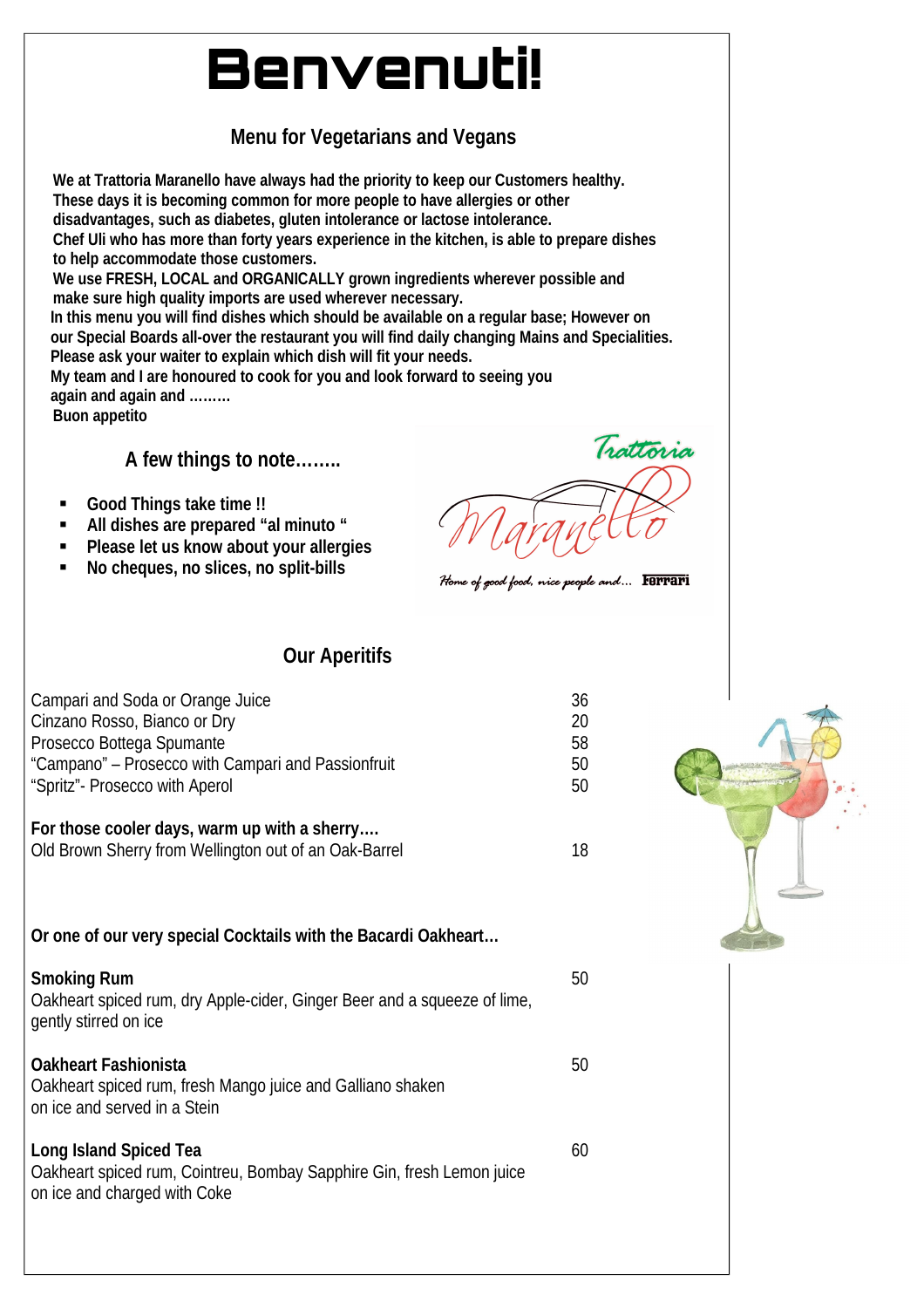# Benvenuti!

### **Menu for Vegetarians and Vegans**

**We at Trattoria Maranello have always had the priority to keep our Customers healthy. These days it is becoming common for more people to have allergies or other disadvantages, such as diabetes, gluten intolerance or lactose intolerance. Chef Uli who has more than forty years experience in the kitchen, is able to prepare dishes to help accommodate those customers. We use FRESH, LOCAL and ORGANICALLY grown ingredients wherever possible and make sure high quality imports are used wherever necessary. In this menu you will find dishes which should be available on a regular base; However on our Special Boards all-over the restaurant you will find daily changing Mains and Specialities. Please ask your waiter to explain which dish will fit your needs. My team and I are honoured to cook for you and look forward to seeing you again and again and ……… Buon appetito**

#### **A few things to note……..**

- **Good Things take time !!**
- **All dishes are prepared "al minuto "**
- **Please let us know about your allergies**
- **No cheques, no slices, no split-bills**

Trattoria

nice people and... FEPPAPI

#### **Our Aperitifs**

| Campari and Soda or Orange Juice<br>Cinzano Rosso, Bianco or Dry<br>Prosecco Bottega Spumante<br>"Campano" – Prosecco with Campari and Passionfruit<br>"Spritz"- Prosecco with Aperol | 36<br>20<br>58<br>50<br>50 |
|---------------------------------------------------------------------------------------------------------------------------------------------------------------------------------------|----------------------------|
| For those cooler days, warm up with a sherry<br>Old Brown Sherry from Wellington out of an Oak-Barrel                                                                                 | 18                         |
| Or one of our very special Cocktails with the Bacardi Oakheart                                                                                                                        |                            |
| <b>Smoking Rum</b><br>Oakheart spiced rum, dry Apple-cider, Ginger Beer and a squeeze of lime,<br>gently stirred on ice                                                               | 50                         |
| <b>Oakheart Fashionista</b><br>Oakheart spiced rum, fresh Mango juice and Galliano shaken<br>on ice and served in a Stein                                                             | 50                         |
| <b>Long Island Spiced Tea</b><br>Oakheart spiced rum, Cointreu, Bombay Sapphire Gin, fresh Lemon juice<br>on ice and charged with Coke                                                | 60                         |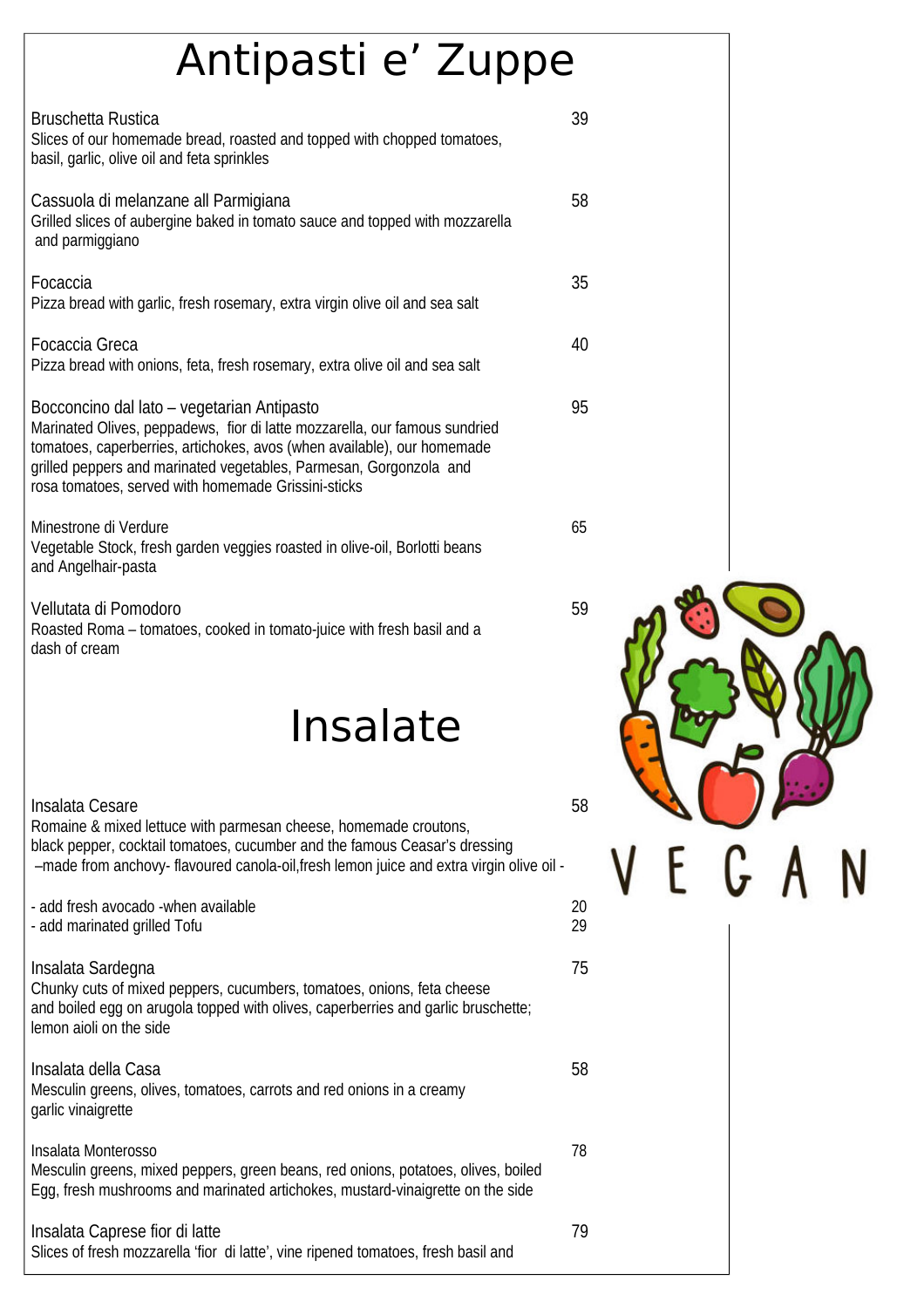# Antipasti e' Zuppe

| <b>Bruschetta Rustica</b><br>Slices of our homemade bread, roasted and topped with chopped tomatoes,<br>basil, garlic, olive oil and feta sprinkles                                                                                                                                                                              | 39 |
|----------------------------------------------------------------------------------------------------------------------------------------------------------------------------------------------------------------------------------------------------------------------------------------------------------------------------------|----|
| Cassuola di melanzane all Parmigiana<br>Grilled slices of aubergine baked in tomato sauce and topped with mozzarella<br>and parmiggiano                                                                                                                                                                                          | 58 |
| Focaccia<br>Pizza bread with garlic, fresh rosemary, extra virgin olive oil and sea salt                                                                                                                                                                                                                                         | 35 |
| Focaccia Greca<br>Pizza bread with onions, feta, fresh rosemary, extra olive oil and sea salt                                                                                                                                                                                                                                    | 40 |
| Bocconcino dal lato – vegetarian Antipasto<br>Marinated Olives, peppadews, fior di latte mozzarella, our famous sundried<br>tomatoes, caperberries, artichokes, avos (when available), our homemade<br>grilled peppers and marinated vegetables, Parmesan, Gorgonzola and<br>rosa tomatoes, served with homemade Grissini-sticks | 95 |
| Minestrone di Verdure<br>Vegetable Stock, fresh garden veggies roasted in olive-oil, Borlotti beans<br>and Angelhair-pasta                                                                                                                                                                                                       | 65 |
| Vellutata di Pomodoro<br>Roasted Roma - tomatoes, cooked in tomato-juice with fresh basil and a<br>dash of cream                                                                                                                                                                                                                 | 59 |
| Insalate                                                                                                                                                                                                                                                                                                                         |    |
| Insalata Cesare<br>Romaine & mixed lettuce with parmesan cheese, homemade croutons,<br>black pepper, cocktail tomatoes, cucumber and the famous Ceasar's dressing<br>-made from anchovy- flavoured canola-oil, fresh lemon juice and extra virgin olive oil -                                                                    | 58 |
|                                                                                                                                                                                                                                                                                                                                  |    |

- add fresh avocado -when available 20 - add marinated grilled Tofu 29 Insalata Sardegna 75 Chunky cuts of mixed peppers, cucumbers, tomatoes, onions, feta cheese and boiled egg on arugola topped with olives, caperberries and garlic bruschette; lemon aioli on the side Insalata della Casa 58 Mesculin greens, olives, tomatoes, carrots and red onions in a creamy garlic vinaigrette Insalata Monterosso 78 Mesculin greens, mixed peppers, green beans, red onions, potatoes, olives, boiled Egg, fresh mushrooms and marinated artichokes, mustard-vinaigrette on the side Insalata Caprese fior di latte 79 Slices of fresh mozzarella 'fior di latte', vine ripened tomatoes, fresh basil and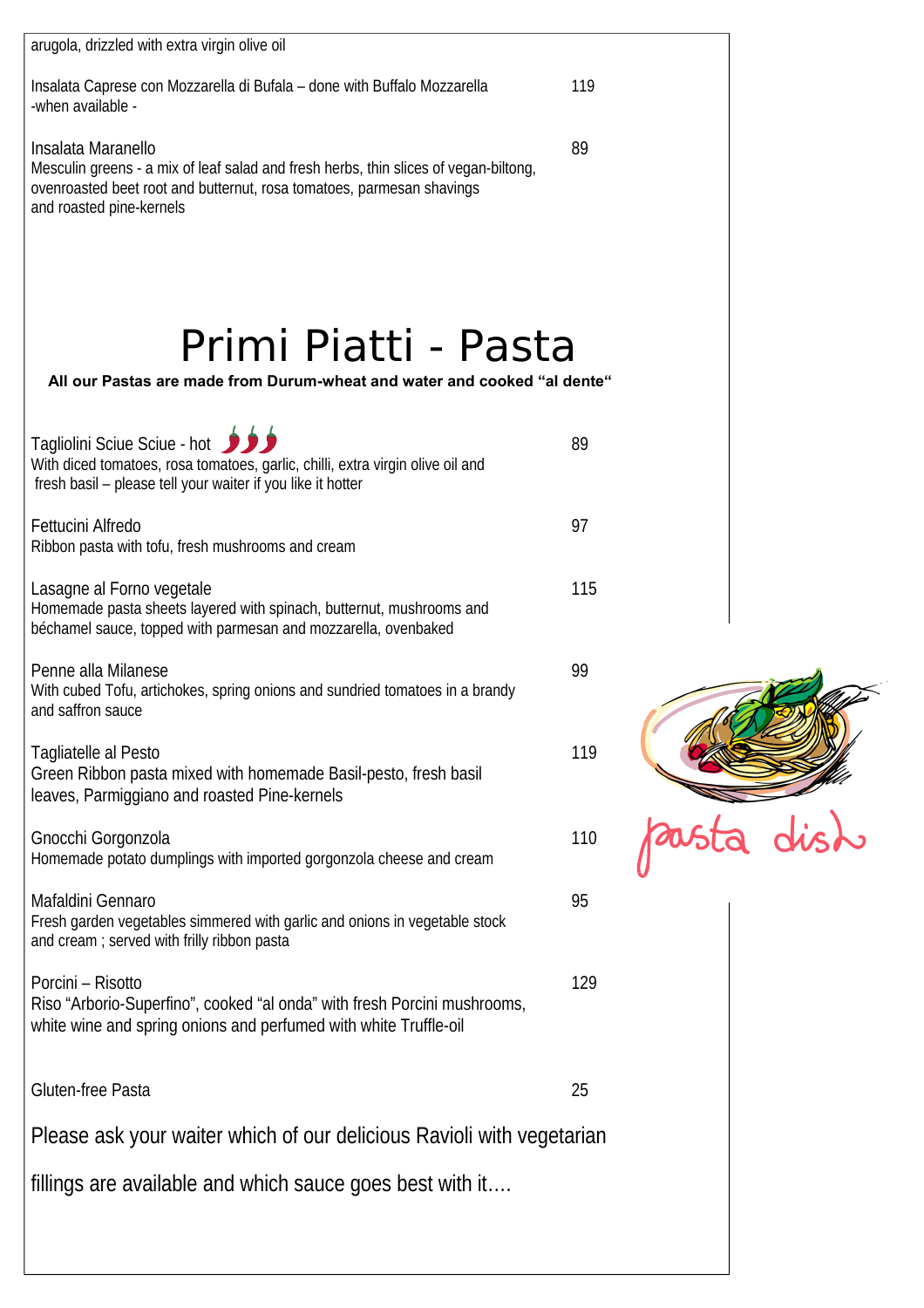| arugola, drizzled with extra virgin olive oil                                                                                                                                                                   |     |  |  |
|-----------------------------------------------------------------------------------------------------------------------------------------------------------------------------------------------------------------|-----|--|--|
| Insalata Caprese con Mozzarella di Bufala - done with Buffalo Mozzarella<br>-when available -                                                                                                                   | 119 |  |  |
| Insalata Maranello<br>Mesculin greens - a mix of leaf salad and fresh herbs, thin slices of vegan-biltong,<br>ovenroasted beet root and butternut, rosa tomatoes, parmesan shavings<br>and roasted pine-kernels | 89  |  |  |
| Primi Piatti - Pasta                                                                                                                                                                                            |     |  |  |
| All our Pastas are made from Durum-wheat and water and cooked "al dente"                                                                                                                                        |     |  |  |
| Tagliolini Sciue Sciue - hot 3<br>With diced tomatoes, rosa tomatoes, garlic, chilli, extra virgin olive oil and<br>fresh basil – please tell your waiter if you like it hotter                                 | 89  |  |  |
| Fettucini Alfredo<br>Ribbon pasta with tofu, fresh mushrooms and cream                                                                                                                                          | 97  |  |  |
| Lasagne al Forno vegetale<br>Homemade pasta sheets layered with spinach, butternut, mushrooms and<br>béchamel sauce, topped with parmesan and mozzarella, ovenbaked                                             | 115 |  |  |
| Penne alla Milanese<br>With cubed Tofu, artichokes, spring onions and sundried tomatoes in a brandy<br>and saffron sauce                                                                                        | 99  |  |  |
| Tagliatelle al Pesto<br>Green Ribbon pasta mixed with homemade Basil-pesto, fresh basil<br>leaves, Parmiggiano and roasted Pine-kernels                                                                         | 119 |  |  |
| Gnocchi Gorgonzola<br>Homemade potato dumplings with imported gorgonzola cheese and cream                                                                                                                       | 110 |  |  |
| Mafaldini Gennaro<br>Fresh garden vegetables simmered with garlic and onions in vegetable stock<br>and cream; served with frilly ribbon pasta                                                                   | 95  |  |  |
| Porcini - Risotto<br>Riso "Arborio-Superfino", cooked "al onda" with fresh Porcini mushrooms,<br>white wine and spring onions and perfumed with white Truffle-oil                                               | 129 |  |  |
| Gluten-free Pasta                                                                                                                                                                                               | 25  |  |  |
| Please ask your waiter which of our delicious Ravioli with vegetarian                                                                                                                                           |     |  |  |
| fillings are available and which sauce goes best with it                                                                                                                                                        |     |  |  |
|                                                                                                                                                                                                                 |     |  |  |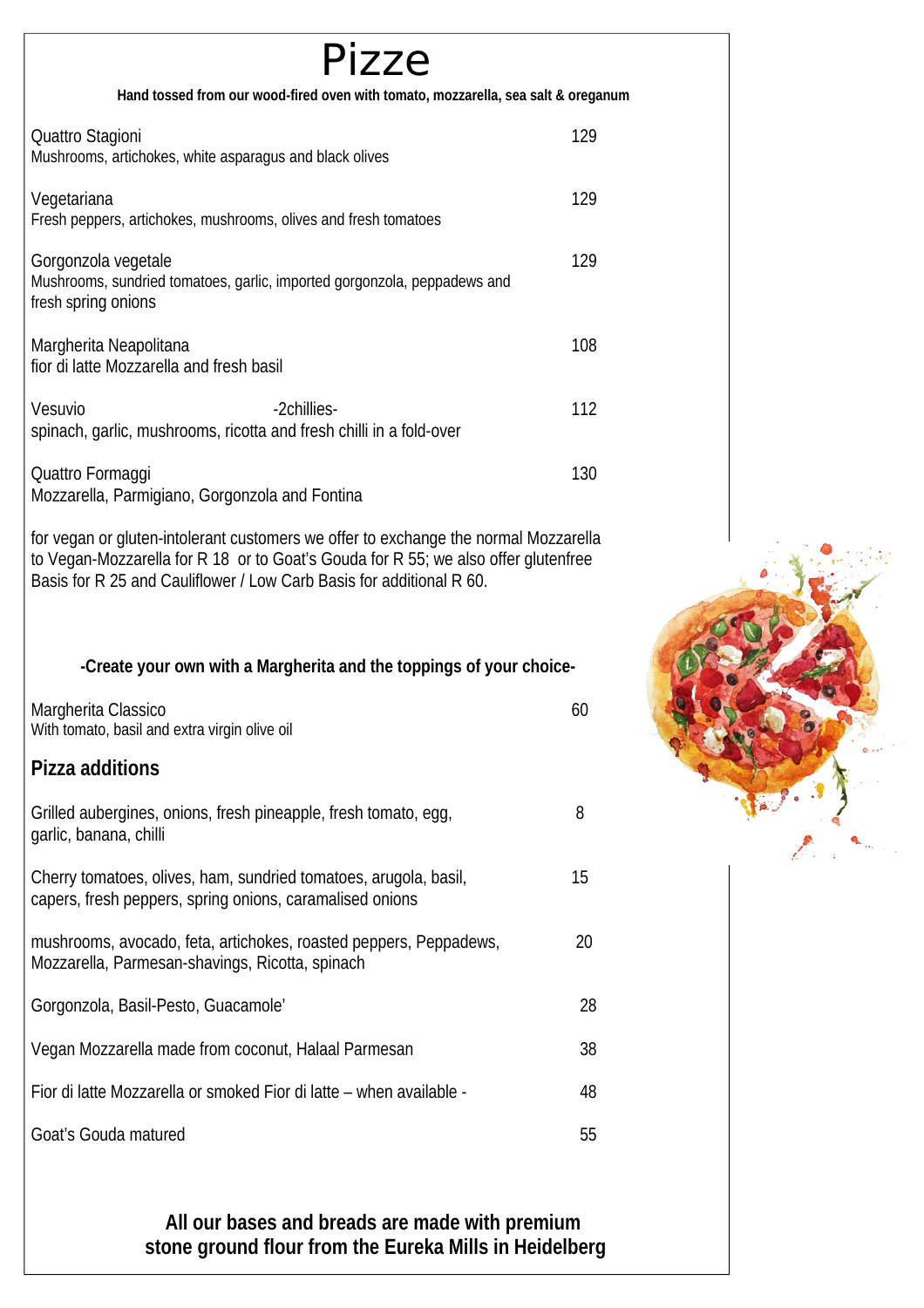|                                                                                                                        | Pizze                                                                               |     |
|------------------------------------------------------------------------------------------------------------------------|-------------------------------------------------------------------------------------|-----|
|                                                                                                                        | Hand tossed from our wood-fired oven with tomato, mozzarella, sea salt & oreganum   |     |
| Quattro Stagioni<br>Mushrooms, artichokes, white asparagus and black olives                                            |                                                                                     | 129 |
| Vegetariana<br>Fresh peppers, artichokes, mushrooms, olives and fresh tomatoes                                         |                                                                                     | 129 |
| Gorgonzola vegetale<br>Mushrooms, sundried tomatoes, garlic, imported gorgonzola, peppadews and<br>fresh spring onions |                                                                                     | 129 |
| Margherita Neapolitana<br>fior di latte Mozzarella and fresh basil                                                     |                                                                                     | 108 |
| Vesuvio<br>spinach, garlic, mushrooms, ricotta and fresh chilli in a fold-over                                         | -2chillies-                                                                         | 112 |
| Quattro Formaggi<br>Mozzarella, Parmigiano, Gorgonzola and Fontina                                                     |                                                                                     | 130 |
|                                                                                                                        | tor vegan or aluten intolecent customers we offer to exchange the normal Mozzarella |     |

for vegan or gluten-intolerant customers we offer to exchange the normal Mozzarella to Vegan-Mozzarella for R 18 or to Goat's Gouda for R 55; we also offer glutenfree Basis for R 25 and Cauliflower / Low Carb Basis for additional R 60.

#### **-Create your own with a Margherita and the toppings of your choice-**

| Margherita Classico<br>60                                                                                                          |
|------------------------------------------------------------------------------------------------------------------------------------|
| With tomato, basil and extra virgin olive oil                                                                                      |
| <b>Pizza additions</b>                                                                                                             |
| Grilled aubergines, onions, fresh pineapple, fresh tomato, egg,<br>8<br>garlic, banana, chilli                                     |
| Cherry tomatoes, olives, ham, sundried tomatoes, arugola, basil,<br>15<br>capers, fresh peppers, spring onions, caramalised onions |
| mushrooms, avocado, feta, artichokes, roasted peppers, Peppadews,<br>20<br>Mozzarella, Parmesan-shavings, Ricotta, spinach         |
| 28<br>Gorgonzola, Basil-Pesto, Guacamole'                                                                                          |
| Vegan Mozzarella made from coconut, Halaal Parmesan<br>38                                                                          |
| Fior di latte Mozzarella or smoked Fior di latte - when available -<br>48                                                          |
| Goat's Gouda matured<br>55                                                                                                         |

## **All our bases and breads are made with premium stone ground flour from the Eureka Mills in Heidelberg**